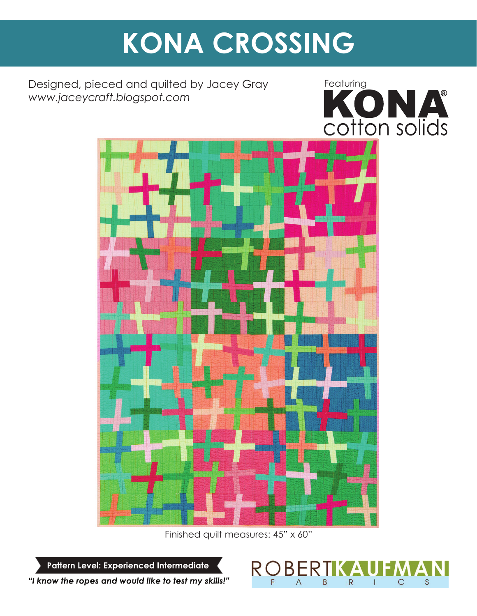# **KONA CROSSING**

Designed, pieced and quilted by Jacey Gray *www.jaceycraft.blogspot.com*





Finished quilt measures: 45" x 60"

Pattern Level: Experienced Intermediate



"I know the ropes and would like to test my skills!"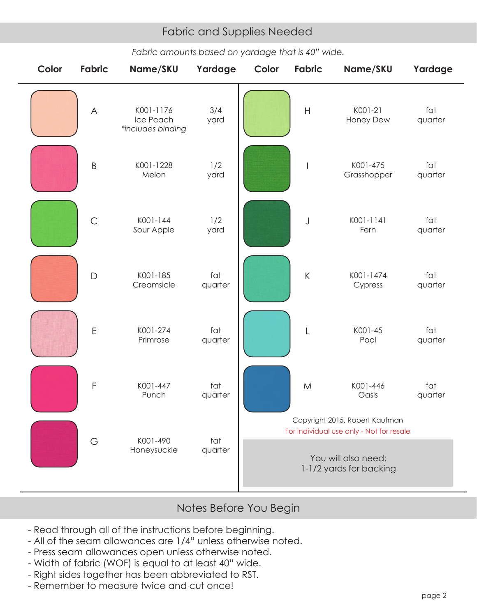## Fabric and Supplies Needed Fabric and Supplies Needed

*Fabric amounts based on yardage that is 40" wide.*

| Color | <b>Fabric</b> | Name/SKU                                    | Yardage        | Color                                                                      | <b>Fabric</b>                                                                                               | Name/SKU                | Yardage        |
|-------|---------------|---------------------------------------------|----------------|----------------------------------------------------------------------------|-------------------------------------------------------------------------------------------------------------|-------------------------|----------------|
|       | $\forall$     | K001-1176<br>Ice Peach<br>*includes binding | 3/4<br>yard    |                                                                            | $\mathsf{H}%$                                                                                               | K001-21<br>Honey Dew    | fat<br>quarter |
|       | $\sf B$       | K001-1228<br>Melon                          | 1/2<br>yard    |                                                                            |                                                                                                             | K001-475<br>Grasshopper | fat<br>quarter |
|       | $\mathsf C$   | K001-144<br>Sour Apple                      | 1/2<br>yard    |                                                                            | J                                                                                                           | K001-1141<br>Fern       | fat<br>quarter |
|       | $\Box$        | K001-185<br>Creamsicle                      | fat<br>quarter |                                                                            | $\sf K$                                                                                                     | K001-1474<br>Cypress    | fat<br>quarter |
|       | $\mathsf E$   | K001-274<br>Primrose                        | fat<br>quarter |                                                                            | $\mathsf{L}% _{0}\left( \mathsf{L}_{0}\right) ^{\ast }=\mathsf{L}_{0}\left( \mathsf{L}_{0}\right) ^{\ast }$ | K001-45<br>Pool         | fat<br>quarter |
|       | F             | K001-447<br>Punch                           | fat<br>quarter |                                                                            | ${\sf M}$                                                                                                   | K001-446<br>Oasis       | fat<br>quarter |
|       | G             | K001-490<br>Honeysuckle                     | fat<br>quarter | Copyright 2015, Robert Kaufman<br>For individual use only - Not for resale |                                                                                                             |                         |                |
|       |               |                                             |                | You will also need:<br>1-1/2 yards for backing                             |                                                                                                             |                         |                |

### Notes Before You Begin

- Read through all of the instructions before beginning.
- All of the seam allowances are 1/4" unless otherwise noted.
- Press seam allowances open unless otherwise noted.
- Width of fabric (WOF) is equal to at least 40" wide.
- Right sides together has been abbreviated to RST.
- Remember to measure twice and cut once!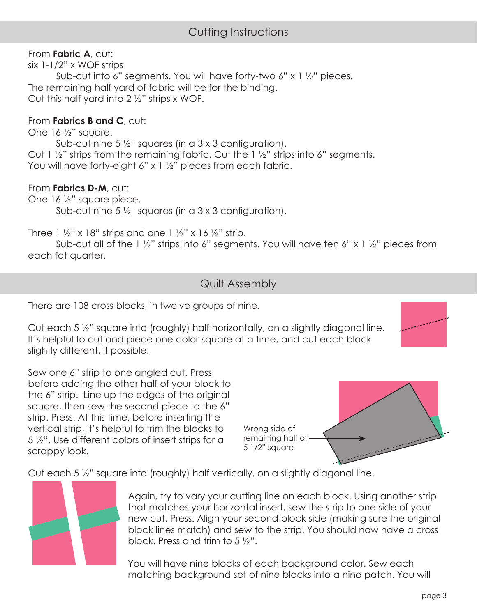## Cutting Instructions

#### From **Fabric A**, cut:

six 1-1/2" x WOF strips

 Sub-cut into 6" segments. You will have forty-two 6" x 1 ½" pieces. The remaining half yard of fabric will be for the binding. Cut this half yard into  $2\frac{1}{2}$ " strips x WOF.

#### From **Fabrics B and C**, cut:

One 16-½" square.

Sub-cut nine 5  $\frac{1}{2}$ " squares (in a 3 x 3 configuration). Cut 1 ½" strips from the remaining fabric. Cut the 1 ½" strips into 6" segments. You will have forty-eight 6" x 1 1/2" pieces from each fabric.

#### From **Fabrics D-M**, cut:

One 16 ½" square piece. Sub-cut nine 5  $\frac{1}{2}$ " squares (in a 3 x 3 configuration).

Three 1  $\frac{1}{2}$ " x 18" strips and one 1  $\frac{1}{2}$ " x 16  $\frac{1}{2}$ " strip.

Sub-cut all of the 1  $\frac{1}{2}$ " strips into 6" segments. You will have ten 6" x 1  $\frac{1}{2}$ " pieces from each fat quarter.

#### Quilt Assembly

There are 108 cross blocks, in twelve groups of nine.

Cut each 5 ½" square into (roughly) half horizontally, on a slightly diagonal line. It's helpful to cut and piece one color square at a time, and cut each block slightly different, if possible.

Sew one 6" strip to one angled cut. Press before adding the other half of your block to the 6" strip. Line up the edges of the original square, then sew the second piece to the 6" strip. Press. At this time, before inserting the vertical strip, it's helpful to trim the blocks to 5 ½". Use different colors of insert strips for a scrappy look.

Wrong side of remaining half of <u>an an Aonaichte a</u> 5 1/2" square

Cut each 5 ½" square into (roughly) half vertically, on a slightly diagonal line.



Again, try to vary your cutting line on each block. Using another strip that matches your horizontal insert, sew the strip to one side of your new cut. Press. Align your second block side (making sure the original block lines match) and sew to the strip. You should now have a cross block. Press and trim to 5 ½".

You will have nine blocks of each background color. Sew each matching background set of nine blocks into a nine patch. You will